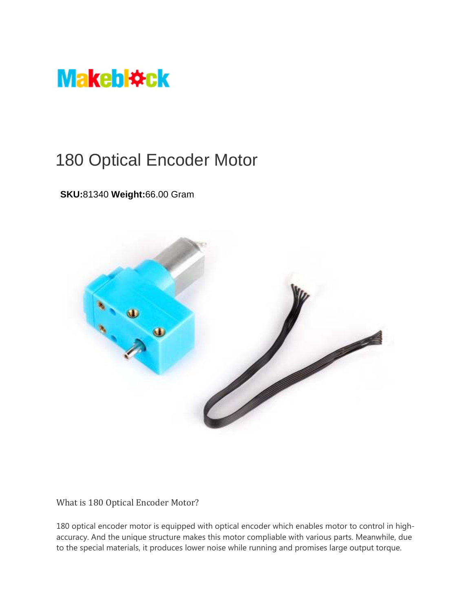

## 180 Optical Encoder Motor

## **SKU:**81340 **Weight:**66.00 Gram



What is 180 Optical Encoder Motor?

180 optical encoder motor is equipped with optical encoder which enables motor to control in highaccuracy. And the unique structure makes this motor compliable with various parts. Meanwhile, due to the special materials, it produces lower noise while running and promises large output torque.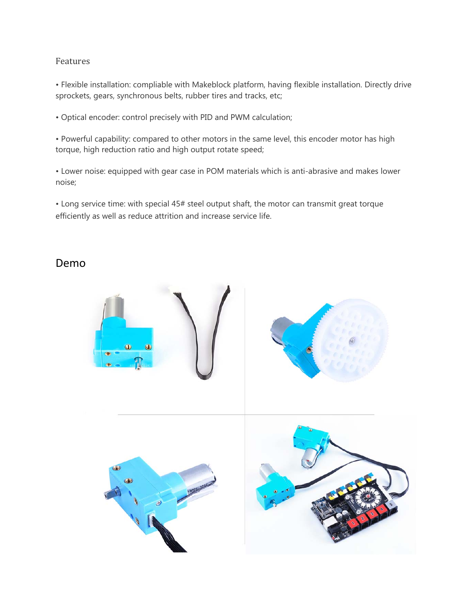## Features

• Flexible installation: compliable with Makeblock platform, having flexible installation. Directly drive sprockets, gears, synchronous belts, rubber tires and tracks, etc;

• Optical encoder: control precisely with PID and PWM calculation;

• Powerful capability: compared to other motors in the same level, this encoder motor has high torque, high reduction ratio and high output rotate speed;

• Lower noise: equipped with gear case in POM materials which is anti-abrasive and makes lower noise;

• Long service time: with special 45# steel output shaft, the motor can transmit great torque efficiently as well as reduce attrition and increase service life.

## Demo